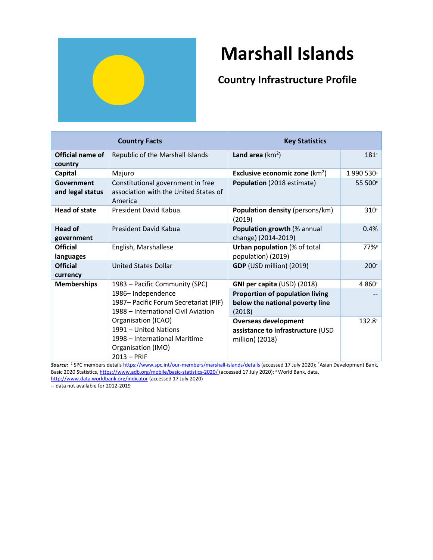

# **Marshall Islands**

## **Country Infrastructure Profile**

| <b>Country Facts</b>           |                                                                                                                                                                                                                            | <b>Key Statistics</b>                                                               |            |
|--------------------------------|----------------------------------------------------------------------------------------------------------------------------------------------------------------------------------------------------------------------------|-------------------------------------------------------------------------------------|------------|
| Official name of<br>country    | Republic of the Marshall Islands                                                                                                                                                                                           | Land area $(km^2)$                                                                  | $181^{1}$  |
| Capital                        | Majuro                                                                                                                                                                                                                     | Exclusive economic zone $(km^2)$                                                    | 1 990 5301 |
| Government<br>and legal status | Constitutional government in free<br>association with the United States of<br>America                                                                                                                                      | Population (2018 estimate)                                                          | 55 500#    |
| <b>Head of state</b>           | President David Kabua                                                                                                                                                                                                      | <b>Population density (persons/km)</b><br>(2019)                                    | $310^*$    |
| <b>Head of</b><br>government   | President David Kabua                                                                                                                                                                                                      | Population growth (% annual<br>change) (2014-2019)                                  | 0.4%       |
| <b>Official</b><br>languages   | English, Marshallese                                                                                                                                                                                                       | <b>Urban population (% of total</b><br>population) (2019)                           | 77%#       |
| <b>Official</b><br>currency    | <b>United States Dollar</b>                                                                                                                                                                                                | GDP (USD million) (2019)                                                            | $200*$     |
| <b>Memberships</b>             | 1983 – Pacific Community (SPC)                                                                                                                                                                                             | GNI per capita (USD) (2018)                                                         | 4 8 60*    |
|                                | 1986-Independence<br>1987 – Pacific Forum Secretariat (PIF)<br>1988 - International Civil Aviation<br>Organisation (ICAO)<br>1991 - United Nations<br>1998 – International Maritime<br>Organisation (IMO)<br>$2013 - PRIF$ | <b>Proportion of population living</b><br>below the national poverty line<br>(2018) |            |
|                                |                                                                                                                                                                                                                            | <b>Overseas development</b><br>assistance to infrastructure (USD<br>million) (2018) | 132.8*     |

*Source:* <sup>1</sup> SPC members detail[s https://www.spc.int/our-members/marshall-islands/details](https://www.spc.int/our-members/marshall-islands/details) (accessed 17 July 2020); \*Asian Development Bank, Basic 2020 Statistics[, https://www.adb.org/mobile/basic-statistics-2020/](https://www.adb.org/mobile/basic-statistics-2020/) (accessed 17 July 2020); # World Bank, data,

<http://www.data.worldbank.org/indicator> (accessed 17 July 2020)

-- data not available for 2012-2019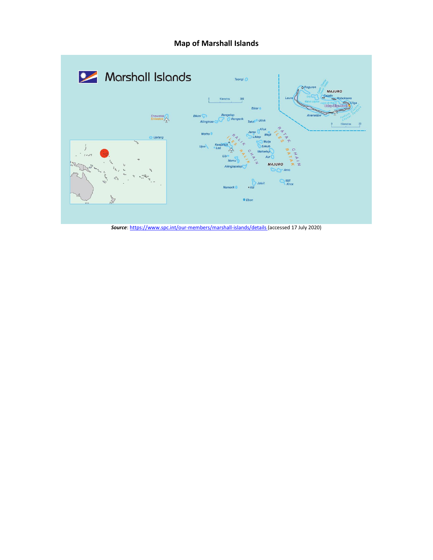## **Map of Marshall Islands**



*Source*[: https://www.spc.int/our-members/marshall-islands/details](https://www.spc.int/our-members/marshall-islands/details) (accessed 17 July 2020)